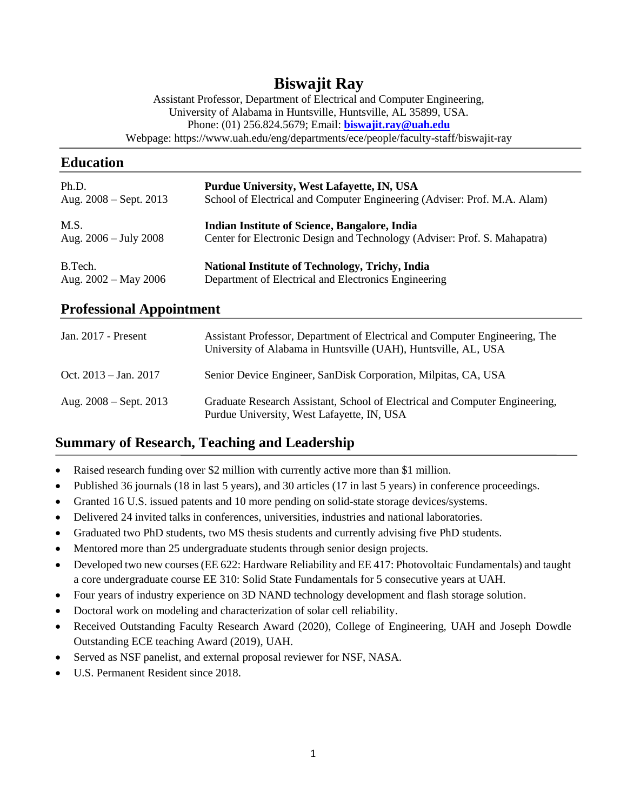# **Biswajit Ray**

Assistant Professor, Department of Electrical and Computer Engineering, University of Alabama in Huntsville, Huntsville, AL 35899, USA. Phone: (01) 256.824.5679; Email: **[biswajit.ray@uah.edu](mailto:biswajit.ray@uah.edu)** Webpage: https://www.uah.edu/eng/departments/ece/people/faculty-staff/biswajit-ray

# **Education**

| Ph.D.                           | Purdue University, West Lafayette, IN, USA                                |
|---------------------------------|---------------------------------------------------------------------------|
| Aug. $2008 -$ Sept. $2013$      | School of Electrical and Computer Engineering (Adviser: Prof. M.A. Alam)  |
| M.S.                            | Indian Institute of Science, Bangalore, India                             |
| Aug. $2006 - \text{July } 2008$ | Center for Electronic Design and Technology (Adviser: Prof. S. Mahapatra) |
| B.Tech.                         | <b>National Institute of Technology, Trichy, India</b>                    |
| Aug. $2002 - May 2006$          | Department of Electrical and Electronics Engineering                      |

# **Professional Appointment**

| Jan. $2017$ - Present           | Assistant Professor, Department of Electrical and Computer Engineering, The<br>University of Alabama in Huntsville (UAH), Huntsville, AL, USA |
|---------------------------------|-----------------------------------------------------------------------------------------------------------------------------------------------|
| Oct. $2013 - \text{Jan. } 2017$ | Senior Device Engineer, SanDisk Corporation, Milpitas, CA, USA                                                                                |
| Aug. $2008 -$ Sept. $2013$      | Graduate Research Assistant, School of Electrical and Computer Engineering,<br>Purdue University, West Lafayette, IN, USA                     |

# **Summary of Research, Teaching and Leadership**

- Raised research funding over \$2 million with currently active more than \$1 million.
- Published 36 journals (18 in last 5 years), and 30 articles (17 in last 5 years) in conference proceedings.
- Granted 16 U.S. issued patents and 10 more pending on solid-state storage devices/systems.
- Delivered 24 invited talks in conferences, universities, industries and national laboratories.
- Graduated two PhD students, two MS thesis students and currently advising five PhD students.
- Mentored more than 25 undergraduate students through senior design projects.
- Developed two new courses (EE 622: Hardware Reliability and EE 417: Photovoltaic Fundamentals) and taught a core undergraduate course EE 310: Solid State Fundamentals for 5 consecutive years at UAH.
- Four years of industry experience on 3D NAND technology development and flash storage solution.
- Doctoral work on modeling and characterization of solar cell reliability.
- Received Outstanding Faculty Research Award (2020), College of Engineering, UAH and Joseph Dowdle Outstanding ECE teaching Award (2019), UAH.
- Served as NSF panelist, and external proposal reviewer for NSF, NASA.
- U.S. Permanent Resident since 2018.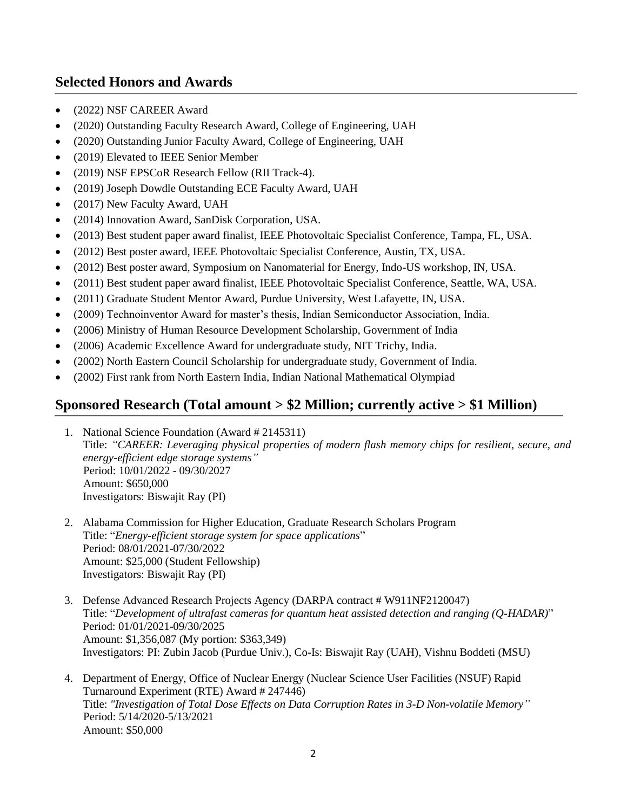# **Selected Honors and Awards**

- (2022) NSF CAREER Award
- (2020) Outstanding Faculty Research Award, College of Engineering, UAH
- (2020) Outstanding Junior Faculty Award, College of Engineering, UAH
- (2019) Elevated to IEEE Senior Member
- (2019) NSF EPSCoR Research Fellow (RII Track-4).
- (2019) Joseph Dowdle Outstanding ECE Faculty Award, UAH
- (2017) New Faculty Award, UAH
- (2014) Innovation Award, SanDisk Corporation, USA.
- (2013) Best student paper award finalist, IEEE Photovoltaic Specialist Conference, Tampa, FL, USA.
- (2012) Best poster award, IEEE Photovoltaic Specialist Conference, Austin, TX, USA.
- (2012) Best poster award, Symposium on Nanomaterial for Energy, Indo-US workshop, IN, USA.
- (2011) Best student paper award finalist, IEEE Photovoltaic Specialist Conference, Seattle, WA, USA.
- (2011) Graduate Student Mentor Award, Purdue University, West Lafayette, IN, USA.
- (2009) Technoinventor Award for master's thesis, Indian Semiconductor Association, India.
- (2006) Ministry of Human Resource Development Scholarship, Government of India
- (2006) Academic Excellence Award for undergraduate study, NIT Trichy, India.
- (2002) North Eastern Council Scholarship for undergraduate study, Government of India.
- (2002) First rank from North Eastern India, Indian National Mathematical Olympiad

# **Sponsored Research (Total amount > \$2 Million; currently active > \$1 Million)**

- 1. National Science Foundation (Award # 2145311) Title: *"CAREER: Leveraging physical properties of modern flash memory chips for resilient, secure, and energy-efficient edge storage systems"* Period: 10/01/2022 - 09/30/2027 Amount: \$650,000 Investigators: Biswajit Ray (PI)
- 2. Alabama Commission for Higher Education, Graduate Research Scholars Program Title: "*Energy-efficient storage system for space applications*" Period: 08/01/2021-07/30/2022 Amount: \$25,000 (Student Fellowship) Investigators: Biswajit Ray (PI)
- 3. Defense Advanced Research Projects Agency (DARPA contract # W911NF2120047) Title: "*Development of ultrafast cameras for quantum heat assisted detection and ranging (Q-HADAR)*" Period: 01/01/2021-09/30/2025 Amount: \$1,356,087 (My portion: \$363,349) Investigators: PI: Zubin Jacob (Purdue Univ.), Co-Is: Biswajit Ray (UAH), Vishnu Boddeti (MSU)
- 4. Department of Energy, Office of Nuclear Energy (Nuclear Science User Facilities (NSUF) Rapid Turnaround Experiment (RTE) Award # 247446) Title: *"Investigation of Total Dose Effects on Data Corruption Rates in 3-D Non-volatile Memory"* Period: 5/14/2020-5/13/2021 Amount: \$50,000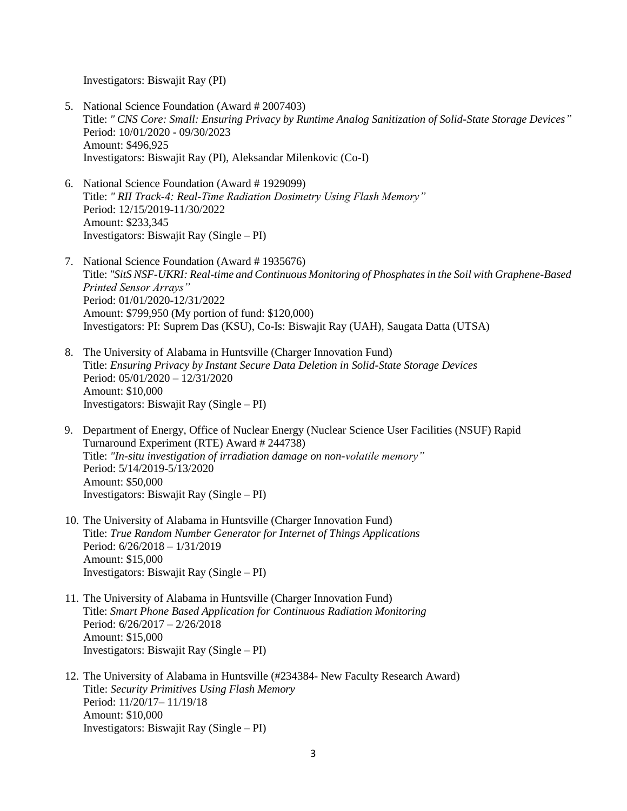Investigators: Biswajit Ray (PI)

- 5. National Science Foundation (Award # 2007403) Title: *" CNS Core: Small: Ensuring Privacy by Runtime Analog Sanitization of Solid-State Storage Devices"* Period: 10/01/2020 - 09/30/2023 Amount: \$496,925 Investigators: Biswajit Ray (PI), Aleksandar Milenkovic (Co-I)
- 6. National Science Foundation (Award # 1929099) Title: *" RII Track-4: Real-Time Radiation Dosimetry Using Flash Memory"* Period: 12/15/2019-11/30/2022 Amount: \$233,345 Investigators: Biswajit Ray (Single – PI)
- 7. National Science Foundation (Award # 1935676) Title: *"SitS NSF-UKRI: Real-time and Continuous Monitoring of Phosphates in the Soil with Graphene-Based Printed Sensor Arrays"* Period: 01/01/2020-12/31/2022 Amount: \$799,950 (My portion of fund: \$120,000) Investigators: PI: Suprem Das (KSU), Co-Is: Biswajit Ray (UAH), Saugata Datta (UTSA)
- 8. The University of Alabama in Huntsville (Charger Innovation Fund) Title: *Ensuring Privacy by Instant Secure Data Deletion in Solid-State Storage Devices* Period: 05/01/2020 – 12/31/2020 Amount: \$10,000 Investigators: Biswajit Ray (Single – PI)
- 9. Department of Energy, Office of Nuclear Energy (Nuclear Science User Facilities (NSUF) Rapid Turnaround Experiment (RTE) Award # 244738) Title: *"In-situ investigation of irradiation damage on non-volatile memory"* Period: 5/14/2019-5/13/2020 Amount: \$50,000 Investigators: Biswajit Ray (Single – PI)
- 10. The University of Alabama in Huntsville (Charger Innovation Fund) Title: *True Random Number Generator for Internet of Things Applications* Period: 6/26/2018 – 1/31/2019 Amount: \$15,000 Investigators: Biswajit Ray (Single – PI)
- 11. The University of Alabama in Huntsville (Charger Innovation Fund) Title: *Smart Phone Based Application for Continuous Radiation Monitoring* Period: 6/26/2017 – 2/26/2018 Amount: \$15,000 Investigators: Biswajit Ray (Single – PI)
- 12. The University of Alabama in Huntsville (#234384- New Faculty Research Award) Title: *Security Primitives Using Flash Memory* Period: 11/20/17– 11/19/18 Amount: \$10,000 Investigators: Biswajit Ray (Single – PI)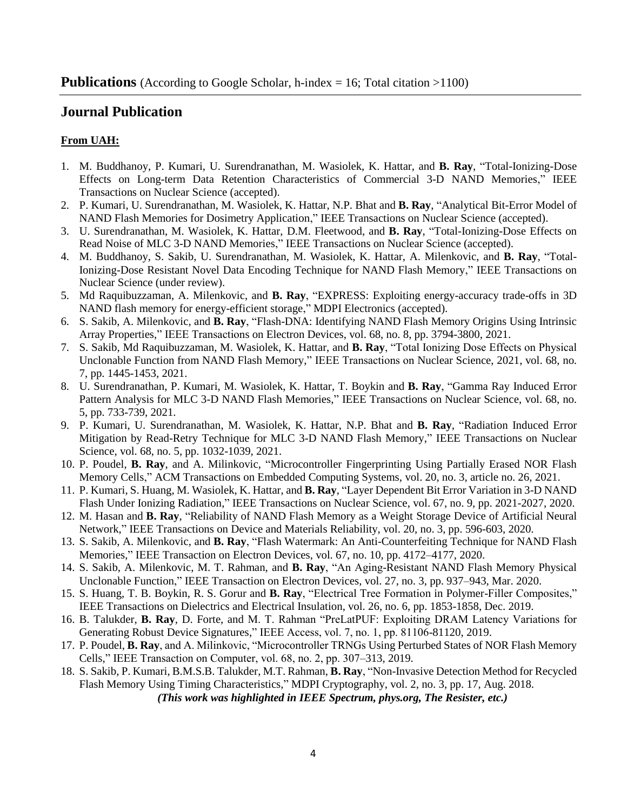## **Journal Publication**

## **From UAH:**

- 1. M. Buddhanoy, P. Kumari, U. Surendranathan, M. Wasiolek, K. Hattar, and **B. Ray**, "Total-Ionizing-Dose Effects on Long-term Data Retention Characteristics of Commercial 3-D NAND Memories," IEEE Transactions on Nuclear Science (accepted).
- 2. P. Kumari, U. Surendranathan, M. Wasiolek, K. Hattar, N.P. Bhat and **B. Ray**, "Analytical Bit-Error Model of NAND Flash Memories for Dosimetry Application," IEEE Transactions on Nuclear Science (accepted).
- 3. U. Surendranathan, M. Wasiolek, K. Hattar, D.M. Fleetwood, and **B. Ray**, "Total-Ionizing-Dose Effects on Read Noise of MLC 3-D NAND Memories," IEEE Transactions on Nuclear Science (accepted).
- 4. M. Buddhanoy, S. Sakib, U. Surendranathan, M. Wasiolek, K. Hattar, A. Milenkovic, and **B. Ray**, "Total-Ionizing-Dose Resistant Novel Data Encoding Technique for NAND Flash Memory," IEEE Transactions on Nuclear Science (under review).
- 5. Md Raquibuzzaman, A. Milenkovic, and **B. Ray**, "EXPRESS: Exploiting energy-accuracy trade-offs in 3D NAND flash memory for energy-efficient storage," MDPI Electronics (accepted).
- 6. S. Sakib, A. Milenkovic, and **B. Ray**, "Flash-DNA: Identifying NAND Flash Memory Origins Using Intrinsic Array Properties," IEEE Transactions on Electron Devices, vol. 68, no. 8, pp. 3794-3800, 2021.
- 7. S. Sakib, Md Raquibuzzaman, M. Wasiolek, K. Hattar, and **B. Ray**, "Total Ionizing Dose Effects on Physical Unclonable Function from NAND Flash Memory," IEEE Transactions on Nuclear Science, 2021, vol. 68, no. 7, pp. 1445-1453, 2021.
- 8. U. Surendranathan, P. Kumari, M. Wasiolek, K. Hattar, T. Boykin and **B. Ray**, "Gamma Ray Induced Error Pattern Analysis for MLC 3-D NAND Flash Memories," IEEE Transactions on Nuclear Science, vol. 68, no. 5, pp. 733-739, 2021.
- 9. P. Kumari, U. Surendranathan, M. Wasiolek, K. Hattar, N.P. Bhat and **B. Ray**, "Radiation Induced Error Mitigation by Read-Retry Technique for MLC 3-D NAND Flash Memory," IEEE Transactions on Nuclear Science, vol. 68, no. 5, pp. 1032-1039, 2021.
- 10. P. Poudel, **B. Ray**, and A. Milinkovic, "Microcontroller Fingerprinting Using Partially Erased NOR Flash Memory Cells," ACM Transactions on Embedded Computing Systems, vol. 20, no. 3, article no. 26, 2021.
- 11. P. Kumari, S. Huang, M. Wasiolek, K. Hattar, and **B. Ray**, "Layer Dependent Bit Error Variation in 3-D NAND Flash Under Ionizing Radiation," IEEE Transactions on Nuclear Science, vol. 67, no. 9, pp. 2021-2027, 2020.
- 12. M. Hasan and **B. Ray**, "Reliability of NAND Flash Memory as a Weight Storage Device of Artificial Neural Network," IEEE Transactions on Device and Materials Reliability, vol. 20, no. 3, pp. 596-603, 2020.
- 13. S. Sakib, A. Milenkovic, and **B. Ray**, "Flash Watermark: An Anti-Counterfeiting Technique for NAND Flash Memories," IEEE Transaction on Electron Devices, vol. 67, no. 10, pp. 4172–4177, 2020.
- 14. S. Sakib, A. Milenkovic, M. T. Rahman, and **B. Ray**, "An Aging-Resistant NAND Flash Memory Physical Unclonable Function," IEEE Transaction on Electron Devices, vol. 27, no. 3, pp. 937–943, Mar. 2020.
- 15. S. Huang, T. B. Boykin, R. S. Gorur and **B. Ray**, "Electrical Tree Formation in Polymer-Filler Composites," IEEE Transactions on Dielectrics and Electrical Insulation, vol. 26, no. 6, pp. 1853-1858, Dec. 2019.
- 16. B. Talukder, **B. Ray**, D. Forte, and M. T. Rahman "PreLatPUF: Exploiting DRAM Latency Variations for Generating Robust Device Signatures," IEEE Access, vol. 7, no. 1, pp. 81106-81120, 2019.
- 17. P. Poudel, **B. Ray**, and A. Milinkovic, "Microcontroller TRNGs Using Perturbed States of NOR Flash Memory Cells," IEEE Transaction on Computer, vol. 68, no. 2, pp. 307–313, 2019.
- 18. S. Sakib, P. Kumari, B.M.S.B. Talukder, M.T. Rahman, **B. Ray**, "Non-Invasive Detection Method for Recycled Flash Memory Using Timing Characteristics," MDPI Cryptography, vol. 2, no. 3, pp. 17, Aug. 2018.

*(This work was highlighted in IEEE Spectrum, phys.org, The Resister, etc.)*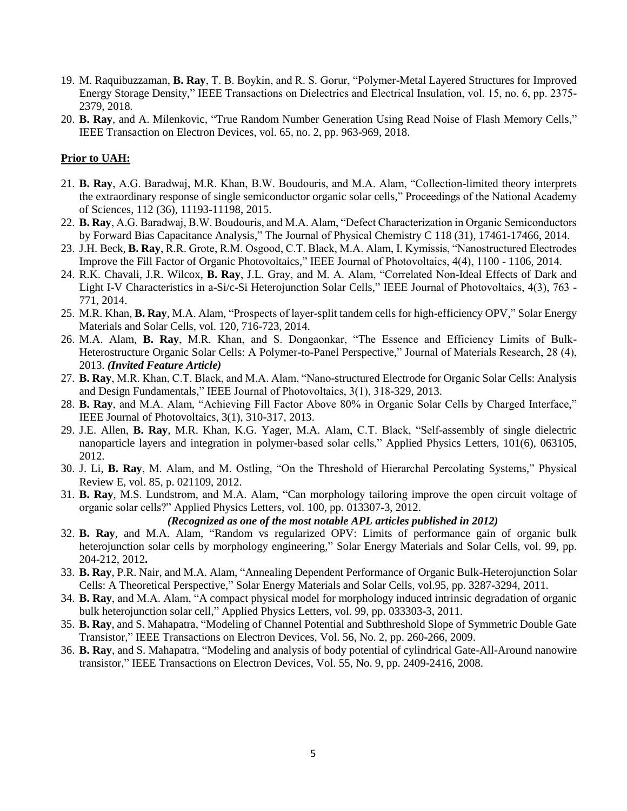- 19. M. Raquibuzzaman, **B. Ray**, T. B. Boykin, and R. S. Gorur, "Polymer-Metal Layered Structures for Improved Energy Storage Density," IEEE Transactions on Dielectrics and Electrical Insulation, vol. 15, no. 6, pp. 2375- 2379, 2018.
- 20. **B. Ray**, and A. Milenkovic, "True Random Number Generation Using Read Noise of Flash Memory Cells," IEEE Transaction on Electron Devices, vol. 65, no. 2, pp. 963-969, 2018.

## **Prior to UAH:**

- 21. **B. Ray**, A.G. Baradwaj, M.R. Khan, B.W. Boudouris, and M.A. Alam, "Collection-limited theory interprets the extraordinary response of single semiconductor organic solar cells," Proceedings of the National Academy of Sciences, 112 (36), 11193-11198, 2015.
- 22. **B. Ray**, A.G. Baradwaj, B.W. Boudouris, and M.A. Alam, "Defect Characterization in Organic Semiconductors by Forward Bias Capacitance Analysis," The Journal of Physical Chemistry C 118 (31), 17461-17466, 2014.
- 23. J.H. Beck, **B. Ray**, R.R. Grote, R.M. Osgood, C.T. Black, M.A. Alam, I. Kymissis, "Nanostructured Electrodes Improve the Fill Factor of Organic Photovoltaics," IEEE Journal of Photovoltaics, 4(4), 1100 - 1106, 2014.
- 24. R.K. Chavali, J.R. Wilcox, **B. Ray**, J.L. Gray, and M. A. Alam, "Correlated Non-Ideal Effects of Dark and Light I-V Characteristics in a-Si/c-Si Heterojunction Solar Cells," IEEE Journal of Photovoltaics, 4(3), 763 - 771, 2014.
- 25. M.R. Khan, **B. Ray**, M.A. Alam, "Prospects of layer-split tandem cells for high-efficiency OPV," Solar Energy Materials and Solar Cells, vol. 120, 716-723, 2014.
- 26. M.A. Alam, **B. Ray**, M.R. Khan, and S. Dongaonkar, "The Essence and Efficiency Limits of Bulk-Heterostructure Organic Solar Cells: A Polymer-to-Panel Perspective," Journal of Materials Research, 28 (4), 2013. *(Invited Feature Article)*
- 27. **B. Ray**, M.R. Khan, C.T. Black, and M.A. Alam, "Nano-structured Electrode for Organic Solar Cells: Analysis and Design Fundamentals," IEEE Journal of Photovoltaics, 3(1), 318-329, 2013.
- 28. **B. Ray**, and M.A. Alam, "Achieving Fill Factor Above 80% in Organic Solar Cells by Charged Interface," IEEE Journal of Photovoltaics, 3(1), 310-317, 2013.
- 29. J.E. Allen, **B. Ray**, M.R. Khan, K.G. Yager, M.A. Alam, C.T. Black, "Self-assembly of single dielectric nanoparticle layers and integration in polymer-based solar cells," Applied Physics Letters, 101(6), 063105, 2012.
- 30. J. Li, **B. Ray**, M. Alam, and M. Ostling, "On the Threshold of Hierarchal Percolating Systems," Physical Review E, vol. 85, p. 021109, 2012.
- 31. **B. Ray**, M.S. Lundstrom, and M.A. Alam, "Can morphology tailoring improve the open circuit voltage of organic solar cells?" Applied Physics Letters, vol. 100, pp. 013307-3, 2012.

#### *(Recognized as one of the most notable APL articles published in 2012)*

- 32. **B. Ray**, and M.A. Alam, "Random vs regularized OPV: Limits of performance gain of organic bulk heterojunction solar cells by morphology engineering," Solar Energy Materials and Solar Cells, vol. 99, pp. 204-212, 2012**.**
- 33. **B. Ray**, P.R. Nair, and M.A. Alam, "Annealing Dependent Performance of Organic Bulk-Heterojunction Solar Cells: A Theoretical Perspective," Solar Energy Materials and Solar Cells, vol.95, pp. 3287-3294, 2011.
- 34. **B. Ray**, and M.A. Alam, "A compact physical model for morphology induced intrinsic degradation of organic bulk heterojunction solar cell," Applied Physics Letters, vol. 99, pp. 033303-3, 2011.
- 35. **B. Ray**, and S. Mahapatra, "Modeling of Channel Potential and Subthreshold Slope of Symmetric Double Gate Transistor," IEEE Transactions on Electron Devices, Vol. 56, No. 2, pp. 260-266, 2009.
- 36. **B. Ray**, and S. Mahapatra, "Modeling and analysis of body potential of cylindrical Gate-All-Around nanowire transistor," IEEE Transactions on Electron Devices, Vol. 55, No. 9, pp. 2409-2416, 2008.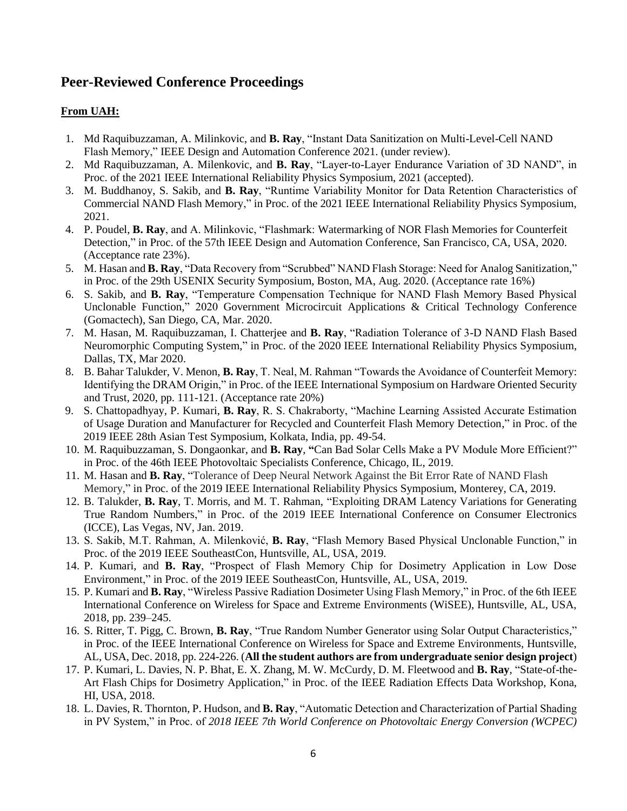## **Peer-Reviewed Conference Proceedings**

## **From UAH:**

- 1. Md Raquibuzzaman, A. Milinkovic, and **B. Ray**, "Instant Data Sanitization on Multi-Level-Cell NAND Flash Memory," IEEE Design and Automation Conference 2021. (under review).
- 2. Md Raquibuzzaman, A. Milenkovic, and **B. Ray**, "Layer-to-Layer Endurance Variation of 3D NAND", in Proc. of the 2021 IEEE International Reliability Physics Symposium, 2021 (accepted).
- 3. M. Buddhanoy, S. Sakib, and **B. Ray**, "Runtime Variability Monitor for Data Retention Characteristics of Commercial NAND Flash Memory," in Proc. of the 2021 IEEE International Reliability Physics Symposium, 2021.
- 4. P. Poudel, **B. Ray**, and A. Milinkovic, "Flashmark: Watermarking of NOR Flash Memories for Counterfeit Detection," in Proc. of the 57th IEEE Design and Automation Conference, San Francisco, CA, USA, 2020. (Acceptance rate 23%).
- 5. M. Hasan and **B. Ray**, "Data Recovery from "Scrubbed" NAND Flash Storage: Need for Analog Sanitization," in Proc. of the 29th USENIX Security Symposium, Boston, MA, Aug. 2020. (Acceptance rate 16%)
- 6. S. Sakib, and **B. Ray**, "Temperature Compensation Technique for NAND Flash Memory Based Physical Unclonable Function," 2020 Government Microcircuit Applications & Critical Technology Conference (Gomactech), San Diego, CA, Mar. 2020.
- 7. M. Hasan, M. Raquibuzzaman, I. Chatterjee and **B. Ray**, "Radiation Tolerance of 3-D NAND Flash Based Neuromorphic Computing System," in Proc. of the 2020 IEEE International Reliability Physics Symposium, Dallas, TX, Mar 2020.
- 8. B. Bahar Talukder, V. Menon, **B. Ray**, T. Neal, M. Rahman "Towards the Avoidance of Counterfeit Memory: Identifying the DRAM Origin," in Proc. of the IEEE International Symposium on Hardware Oriented Security and Trust, 2020, pp. 111-121. (Acceptance rate 20%)
- 9. S. Chattopadhyay, P. Kumari, **B. Ray**, R. S. Chakraborty, "Machine Learning Assisted Accurate Estimation of Usage Duration and Manufacturer for Recycled and Counterfeit Flash Memory Detection," in Proc. of the 2019 IEEE 28th Asian Test Symposium, Kolkata, India, pp. 49-54.
- 10. M. Raquibuzzaman, S. Dongaonkar, and **B. Ray**, **"**Can Bad Solar Cells Make a PV Module More Efficient?" in Proc. of the 46th IEEE Photovoltaic Specialists Conference, Chicago, IL, 2019.
- 11. M. Hasan and **B. Ray**, "Tolerance of Deep Neural Network Against the Bit Error Rate of NAND Flash Memory," in Proc. of the 2019 IEEE International Reliability Physics Symposium, Monterey, CA, 2019.
- 12. B. Talukder, **B. Ray**, T. Morris, and M. T. Rahman, "Exploiting DRAM Latency Variations for Generating True Random Numbers," in Proc. of the 2019 IEEE International Conference on Consumer Electronics (ICCE), Las Vegas, NV, Jan. 2019.
- 13. S. Sakib, M.T. Rahman, A. Milenković, **B. Ray**, "Flash Memory Based Physical Unclonable Function," in Proc. of the 2019 IEEE SoutheastCon, Huntsville, AL, USA, 2019.
- 14. P. Kumari, and **B. Ray**, "Prospect of Flash Memory Chip for Dosimetry Application in Low Dose Environment," in Proc. of the 2019 IEEE SoutheastCon, Huntsville, AL, USA, 2019.
- 15. P. Kumari and **B. Ray**, "Wireless Passive Radiation Dosimeter Using Flash Memory," in Proc. of the 6th IEEE International Conference on Wireless for Space and Extreme Environments (WiSEE), Huntsville, AL, USA, 2018, pp. 239–245.
- 16. S. Ritter, T. Pigg, C. Brown, **B. Ray**, "True Random Number Generator using Solar Output Characteristics," in Proc. of the IEEE International Conference on Wireless for Space and Extreme Environments, Huntsville, AL, USA, Dec. 2018, pp. 224-226. (**All the student authors are from undergraduate senior design project**)
- 17. P. Kumari, L. Davies, N. P. Bhat, E. X. Zhang, M. W. McCurdy, D. M. Fleetwood and **B. Ray**, "State-of-the-Art Flash Chips for Dosimetry Application," in Proc. of the IEEE Radiation Effects Data Workshop, Kona, HI, USA, 2018.
- 18. L. Davies, R. Thornton, P. Hudson, and **B. Ray**, "Automatic Detection and Characterization of Partial Shading in PV System," in Proc. of *2018 IEEE 7th World Conference on Photovoltaic Energy Conversion (WCPEC)*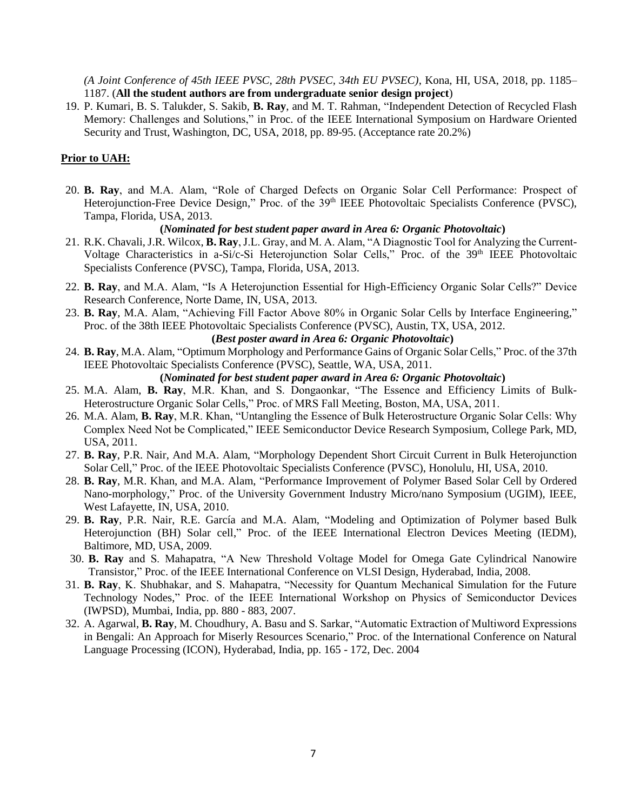*(A Joint Conference of 45th IEEE PVSC, 28th PVSEC, 34th EU PVSEC)*, Kona, HI, USA, 2018, pp. 1185– 1187. (**All the student authors are from undergraduate senior design project**)

19. P. Kumari, B. S. Talukder, S. Sakib, **B. Ray**, and M. T. Rahman, "Independent Detection of Recycled Flash Memory: Challenges and Solutions," in Proc. of the IEEE International Symposium on Hardware Oriented Security and Trust, Washington, DC, USA, 2018, pp. 89-95. (Acceptance rate 20.2%)

### **Prior to UAH:**

20. **B. Ray**, and M.A. Alam, "Role of Charged Defects on Organic Solar Cell Performance: Prospect of Heterojunction-Free Device Design," Proc. of the 39<sup>th</sup> IEEE Photovoltaic Specialists Conference (PVSC), Tampa, Florida, USA, 2013.

#### **(***Nominated for best student paper award in Area 6: Organic Photovoltaic***)**

- 21. R.K. Chavali, J.R. Wilcox, **B. Ray**, J.L. Gray, and M. A. Alam, "A Diagnostic Tool for Analyzing the Current-Voltage Characteristics in a-Si/c-Si Heterojunction Solar Cells," Proc. of the 39<sup>th</sup> IEEE Photovoltaic Specialists Conference (PVSC), Tampa, Florida, USA, 2013.
- 22. **B. Ray**, and M.A. Alam, "Is A Heterojunction Essential for High-Efficiency Organic Solar Cells?" Device Research Conference, Norte Dame, IN, USA, 2013.
- 23. **B. Ray**, M.A. Alam, "Achieving Fill Factor Above 80% in Organic Solar Cells by Interface Engineering," Proc. of the 38th IEEE Photovoltaic Specialists Conference (PVSC), Austin, TX, USA, 2012.

### **(***Best poster award in Area 6: Organic Photovoltaic***)**

24. **B. Ray**, M.A. Alam, "Optimum Morphology and Performance Gains of Organic Solar Cells," Proc. of the 37th IEEE Photovoltaic Specialists Conference (PVSC), Seattle, WA, USA, 2011.

## **(***Nominated for best student paper award in Area 6: Organic Photovoltaic***)**

- 25. M.A. Alam, **B. Ray**, M.R. Khan, and S. Dongaonkar, "The Essence and Efficiency Limits of Bulk-Heterostructure Organic Solar Cells," Proc. of MRS Fall Meeting, Boston, MA, USA, 2011.
- 26. M.A. Alam, **B. Ray**, M.R. Khan, "Untangling the Essence of Bulk Heterostructure Organic Solar Cells: Why Complex Need Not be Complicated," IEEE Semiconductor Device Research Symposium, College Park, MD, USA, 2011.
- 27. **B. Ray**, P.R. Nair, And M.A. Alam, "Morphology Dependent Short Circuit Current in Bulk Heterojunction Solar Cell," Proc. of the IEEE Photovoltaic Specialists Conference (PVSC), Honolulu, HI, USA, 2010.
- 28. **B. Ray**, M.R. Khan, and M.A. Alam, "Performance Improvement of Polymer Based Solar Cell by Ordered Nano-morphology," Proc. of the University Government Industry Micro/nano Symposium (UGIM), IEEE, West Lafayette, IN, USA, 2010.
- 29. **B. Ray**, P.R. Nair, R.E. García and M.A. Alam, "Modeling and Optimization of Polymer based Bulk Heterojunction (BH) Solar cell," Proc. of the IEEE International Electron Devices Meeting (IEDM), Baltimore, MD, USA, 2009.
- 30. **B. Ray** and S. Mahapatra, "A New Threshold Voltage Model for Omega Gate Cylindrical Nanowire Transistor," Proc. of the IEEE International Conference on VLSI Design, Hyderabad, India, 2008.
- 31. **B. Ray**, K. Shubhakar, and S. Mahapatra, "Necessity for Quantum Mechanical Simulation for the Future Technology Nodes," Proc. of the IEEE International Workshop on Physics of Semiconductor Devices (IWPSD), Mumbai, India, pp. 880 - 883, 2007.
- 32. A. Agarwal, **B. Ray**, M. Choudhury, A. Basu and S. Sarkar, "Automatic Extraction of Multiword Expressions in Bengali: An Approach for Miserly Resources Scenario," Proc. of the International Conference on Natural Language Processing (ICON), Hyderabad, India, pp. 165 - 172, Dec. 2004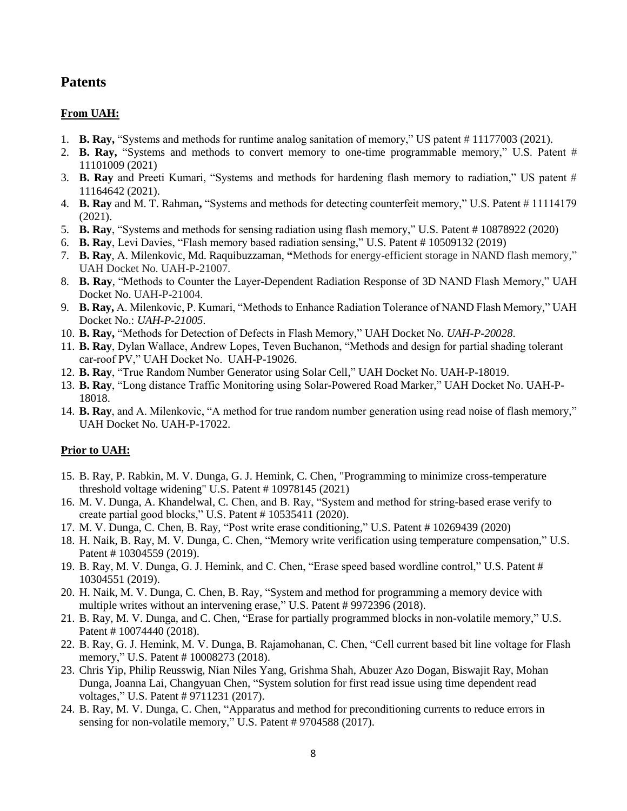## **Patents**

## **From UAH:**

- 1. **B. Ray,** "Systems and methods for runtime analog sanitation of memory," US patent # 11177003 (2021).
- 2. **B. Ray,** "Systems and methods to convert memory to one-time programmable memory," U.S. Patent # 11101009 (2021)
- 3. **B. Ray** and Preeti Kumari, "Systems and methods for hardening flash memory to radiation," US patent # 11164642 (2021).
- 4. **B. Ray** and M. T. Rahman**,** "Systems and methods for detecting counterfeit memory," U.S. Patent # 11114179 (2021).
- 5. **B. Ray**, "Systems and methods for sensing radiation using flash memory," U.S. Patent # 10878922 (2020)
- 6. **B. Ray**, Levi Davies, "Flash memory based radiation sensing," U.S. Patent # 10509132 (2019)
- 7. **B. Ray**, A. Milenkovic, Md. Raquibuzzaman, **"**Methods for energy-efficient storage in NAND flash memory," UAH Docket No. UAH-P-21007.
- 8. **B. Ray**, "Methods to Counter the Layer-Dependent Radiation Response of 3D NAND Flash Memory," UAH Docket No. UAH-P-21004.
- 9. **B. Ray,** A. Milenkovic, P. Kumari, "Methods to Enhance Radiation Tolerance of NAND Flash Memory," UAH Docket No.: *UAH-P-21005*.
- 10. **B. Ray,** "Methods for Detection of Defects in Flash Memory," UAH Docket No. *UAH-P-20028*.
- 11. **B. Ray**, Dylan Wallace, Andrew Lopes, Teven Buchanon, "Methods and design for partial shading tolerant car-roof PV," UAH Docket No. UAH-P-19026.
- 12. **B. Ray**, "True Random Number Generator using Solar Cell," UAH Docket No. UAH-P-18019.
- 13. **B. Ray**, "Long distance Traffic Monitoring using Solar-Powered Road Marker," UAH Docket No. UAH-P-18018.
- 14. **B. Ray**, and A. Milenkovic, "A method for true random number generation using read noise of flash memory," UAH Docket No. UAH-P-17022.

## **Prior to UAH:**

- 15. B. Ray, P. Rabkin, M. V. Dunga, G. J. Hemink, C. Chen, "Programming to minimize cross-temperature threshold voltage widening" U.S. Patent # 10978145 (2021)
- 16. M. V. Dunga, A. Khandelwal, C. Chen, and B. Ray, "System and method for string-based erase verify to create partial good blocks," U.S. Patent # 10535411 (2020).
- 17. M. V. Dunga, C. Chen, B. Ray, "Post write erase conditioning," U.S. Patent # 10269439 (2020)
- 18. H. Naik, B. Ray, M. V. Dunga, C. Chen, "Memory write verification using temperature compensation," U.S. Patent # 10304559 (2019).
- 19. B. Ray, M. V. Dunga, G. J. Hemink, and C. Chen, "Erase speed based wordline control," U.S. Patent # 10304551 (2019).
- 20. H. Naik, M. V. Dunga, C. Chen, B. Ray, "System and method for programming a memory device with multiple writes without an intervening erase," U.S. Patent # 9972396 (2018).
- 21. B. Ray, M. V. Dunga, and C. Chen, "Erase for partially programmed blocks in non-volatile memory," U.S. Patent # 10074440 (2018).
- 22. B. Ray, G. J. Hemink, M. V. Dunga, B. Rajamohanan, C. Chen, "Cell current based bit line voltage for Flash memory," U.S. Patent # 10008273 (2018).
- 23. Chris Yip, Philip Reusswig, Nian Niles Yang, Grishma Shah, Abuzer Azo Dogan, Biswajit Ray, Mohan Dunga, Joanna Lai, Changyuan Chen, "System solution for first read issue using time dependent read voltages," U.S. Patent # 9711231 (2017).
- 24. B. Ray, M. V. Dunga, C. Chen, "Apparatus and method for preconditioning currents to reduce errors in sensing for non-volatile memory," U.S. Patent # 9704588 (2017).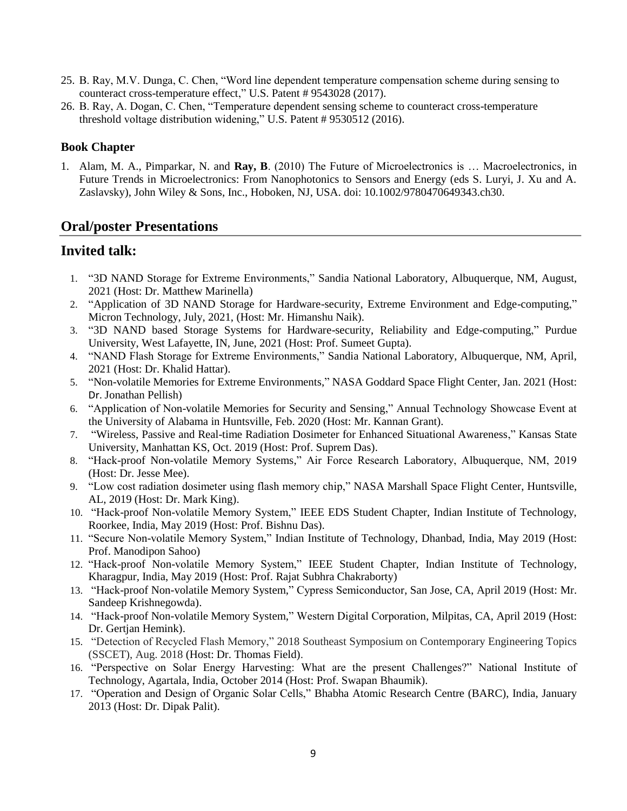- 25. B. Ray, M.V. Dunga, C. Chen, "Word line dependent temperature compensation scheme during sensing to counteract cross-temperature effect," U.S. Patent # 9543028 (2017).
- 26. B. Ray, A. Dogan, C. Chen, "Temperature dependent sensing scheme to counteract cross-temperature threshold voltage distribution widening," U.S. Patent # 9530512 (2016).

## **Book Chapter**

1. Alam, M. A., Pimparkar, N. and **Ray, B**. (2010) The Future of Microelectronics is … Macroelectronics, in Future Trends in Microelectronics: From Nanophotonics to Sensors and Energy (eds S. Luryi, J. Xu and A. Zaslavsky), John Wiley & Sons, Inc., Hoboken, NJ, USA. doi: 10.1002/9780470649343.ch30.

## **Oral/poster Presentations**

## **Invited talk:**

- 1. "3D NAND Storage for Extreme Environments," Sandia National Laboratory, Albuquerque, NM, August, 2021 (Host: Dr. Matthew Marinella)
- 2. "Application of 3D NAND Storage for Hardware-security, Extreme Environment and Edge-computing," Micron Technology, July, 2021, (Host: Mr. Himanshu Naik).
- 3. "3D NAND based Storage Systems for Hardware-security, Reliability and Edge-computing," Purdue University, West Lafayette, IN, June, 2021 (Host: Prof. Sumeet Gupta).
- 4. "NAND Flash Storage for Extreme Environments," Sandia National Laboratory, Albuquerque, NM, April, 2021 (Host: Dr. Khalid Hattar).
- 5. "Non-volatile Memories for Extreme Environments," NASA Goddard Space Flight Center, Jan. 2021 (Host: Dr. Jonathan Pellish)
- 6. "Application of Non-volatile Memories for Security and Sensing," Annual Technology Showcase Event at the University of Alabama in Huntsville, Feb. 2020 (Host: Mr. Kannan Grant).
- 7. "Wireless, Passive and Real-time Radiation Dosimeter for Enhanced Situational Awareness," Kansas State University, Manhattan KS, Oct. 2019 (Host: Prof. Suprem Das).
- 8. "Hack-proof Non-volatile Memory Systems," Air Force Research Laboratory, Albuquerque, NM, 2019 (Host: Dr. Jesse Mee).
- 9. "Low cost radiation dosimeter using flash memory chip," NASA Marshall Space Flight Center, Huntsville, AL, 2019 (Host: Dr. Mark King).
- 10. "Hack-proof Non-volatile Memory System," IEEE EDS Student Chapter, Indian Institute of Technology, Roorkee, India, May 2019 (Host: Prof. Bishnu Das).
- 11. "Secure Non-volatile Memory System," Indian Institute of Technology, Dhanbad, India, May 2019 (Host: Prof. Manodipon Sahoo)
- 12. "Hack-proof Non-volatile Memory System," IEEE Student Chapter, Indian Institute of Technology, Kharagpur, India, May 2019 (Host: Prof. Rajat Subhra Chakraborty)
- 13. "Hack-proof Non-volatile Memory System," Cypress Semiconductor, San Jose, CA, April 2019 (Host: Mr. Sandeep Krishnegowda).
- 14. "Hack-proof Non-volatile Memory System," Western Digital Corporation, Milpitas, CA, April 2019 (Host: Dr. Gertjan Hemink).
- 15. "Detection of Recycled Flash Memory," 2018 Southeast Symposium on Contemporary Engineering Topics (SSCET), Aug. 2018 (Host: Dr. Thomas Field).
- 16. "Perspective on Solar Energy Harvesting: What are the present Challenges?" National Institute of Technology, Agartala, India, October 2014 (Host: Prof. Swapan Bhaumik).
- 17. "Operation and Design of Organic Solar Cells," Bhabha Atomic Research Centre (BARC), India, January 2013 (Host: Dr. Dipak Palit).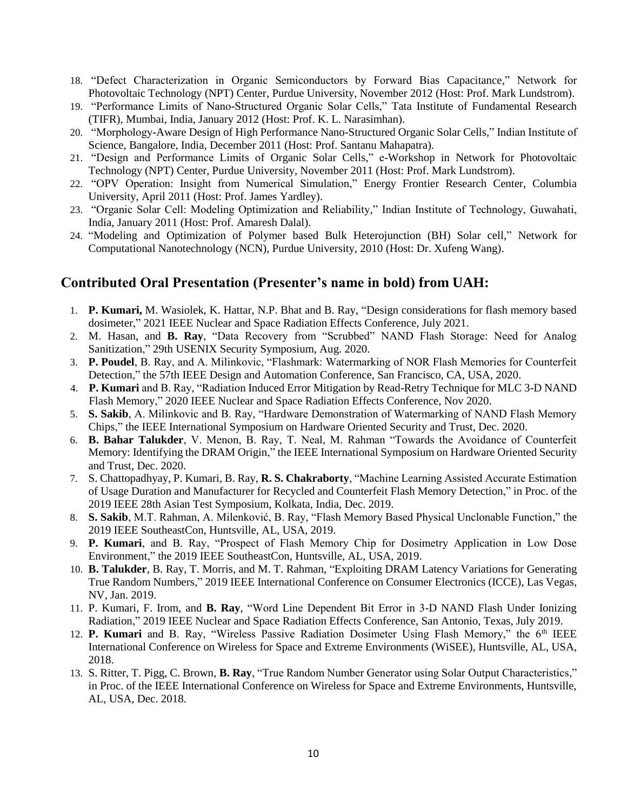- 18. "Defect Characterization in Organic Semiconductors by Forward Bias Capacitance," Network for Photovoltaic Technology (NPT) Center, Purdue University, November 2012 (Host: Prof. Mark Lundstrom).
- 19. "Performance Limits of Nano-Structured Organic Solar Cells," Tata Institute of Fundamental Research (TIFR), Mumbai, India, January 2012 (Host: Prof. K. L. Narasimhan).
- 20. "Morphology-Aware Design of High Performance Nano-Structured Organic Solar Cells," Indian Institute of Science, Bangalore, India, December 2011 (Host: Prof. Santanu Mahapatra).
- 21. "Design and Performance Limits of Organic Solar Cells," e-Workshop in Network for Photovoltaic Technology (NPT) Center, Purdue University, November 2011 (Host: Prof. Mark Lundstrom).
- 22. "OPV Operation: Insight from Numerical Simulation," Energy Frontier Research Center, Columbia University, April 2011 (Host: Prof. James Yardley).
- 23. "Organic Solar Cell: Modeling Optimization and Reliability," Indian Institute of Technology, Guwahati, India, January 2011 (Host: Prof. Amaresh Dalal).
- 24. "Modeling and Optimization of Polymer based Bulk Heterojunction (BH) Solar cell," Network for Computational Nanotechnology (NCN), Purdue University, 2010 (Host: Dr. Xufeng Wang).

# **Contributed Oral Presentation (Presenter's name in bold) from UAH:**

- 1. **P. Kumari,** M. Wasiolek, K. Hattar, N.P. Bhat and B. Ray, "Design considerations for flash memory based dosimeter," 2021 IEEE Nuclear and Space Radiation Effects Conference, July 2021.
- 2. M. Hasan, and **B. Ray**, "Data Recovery from "Scrubbed" NAND Flash Storage: Need for Analog Sanitization," 29th USENIX Security Symposium, Aug. 2020.
- 3. **P. Poudel**, B. Ray, and A. Milinkovic, "Flashmark: Watermarking of NOR Flash Memories for Counterfeit Detection," the 57th IEEE Design and Automation Conference, San Francisco, CA, USA, 2020.
- 4. **P. Kumari** and B. Ray, "Radiation Induced Error Mitigation by Read-Retry Technique for MLC 3-D NAND Flash Memory," 2020 IEEE Nuclear and Space Radiation Effects Conference, Nov 2020.
- 5. **S. Sakib**, A. Milinkovic and B. Ray, "Hardware Demonstration of Watermarking of NAND Flash Memory Chips," the IEEE International Symposium on Hardware Oriented Security and Trust, Dec. 2020.
- 6. **B. Bahar Talukder**, V. Menon, B. Ray, T. Neal, M. Rahman "Towards the Avoidance of Counterfeit Memory: Identifying the DRAM Origin," the IEEE International Symposium on Hardware Oriented Security and Trust, Dec. 2020.
- 7. S. Chattopadhyay, P. Kumari, B. Ray, **R. S. Chakraborty**, "Machine Learning Assisted Accurate Estimation of Usage Duration and Manufacturer for Recycled and Counterfeit Flash Memory Detection," in Proc. of the 2019 IEEE 28th Asian Test Symposium, Kolkata, India, Dec. 2019.
- 8. **S. Sakib**, M.T. Rahman, A. Milenković, B. Ray, "Flash Memory Based Physical Unclonable Function," the 2019 IEEE SoutheastCon, Huntsville, AL, USA, 2019.
- 9. **P. Kumari**, and B. Ray, "Prospect of Flash Memory Chip for Dosimetry Application in Low Dose Environment," the 2019 IEEE SoutheastCon, Huntsville, AL, USA, 2019.
- 10. **B. Talukder**, B. Ray, T. Morris, and M. T. Rahman, "Exploiting DRAM Latency Variations for Generating True Random Numbers," 2019 IEEE International Conference on Consumer Electronics (ICCE), Las Vegas, NV, Jan. 2019.
- 11. P. Kumari, F. Irom, and **B. Ray**, "Word Line Dependent Bit Error in 3-D NAND Flash Under Ionizing Radiation," 2019 IEEE Nuclear and Space Radiation Effects Conference, San Antonio, Texas, July 2019.
- 12. **P. Kumari** and B. Ray, "Wireless Passive Radiation Dosimeter Using Flash Memory," the 6<sup>th</sup> IEEE International Conference on Wireless for Space and Extreme Environments (WiSEE), Huntsville, AL, USA, 2018.
- 13. S. Ritter, T. Pigg, C. Brown, **B. Ray**, "True Random Number Generator using Solar Output Characteristics," in Proc. of the IEEE International Conference on Wireless for Space and Extreme Environments, Huntsville, AL, USA, Dec. 2018.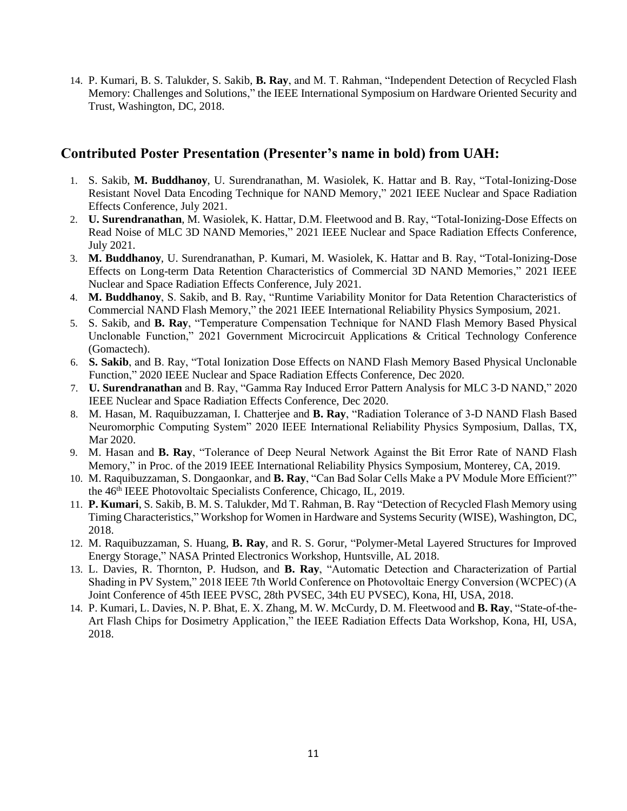14. P. Kumari, B. S. Talukder, S. Sakib, **B. Ray**, and M. T. Rahman, "Independent Detection of Recycled Flash Memory: Challenges and Solutions," the IEEE International Symposium on Hardware Oriented Security and Trust, Washington, DC, 2018.

# **Contributed Poster Presentation (Presenter's name in bold) from UAH:**

- 1. S. Sakib, **M. Buddhanoy**, U. Surendranathan, M. Wasiolek, K. Hattar and B. Ray, "Total-Ionizing-Dose Resistant Novel Data Encoding Technique for NAND Memory," 2021 IEEE Nuclear and Space Radiation Effects Conference, July 2021.
- 2. **U. Surendranathan**, M. Wasiolek, K. Hattar, D.M. Fleetwood and B. Ray, "Total-Ionizing-Dose Effects on Read Noise of MLC 3D NAND Memories," 2021 IEEE Nuclear and Space Radiation Effects Conference, July 2021.
- 3. **M. Buddhanoy**, U. Surendranathan, P. Kumari, M. Wasiolek, K. Hattar and B. Ray, "Total-Ionizing-Dose Effects on Long-term Data Retention Characteristics of Commercial 3D NAND Memories," 2021 IEEE Nuclear and Space Radiation Effects Conference, July 2021.
- 4. **M. Buddhanoy**, S. Sakib, and B. Ray, "Runtime Variability Monitor for Data Retention Characteristics of Commercial NAND Flash Memory," the 2021 IEEE International Reliability Physics Symposium, 2021.
- 5. S. Sakib, and **B. Ray**, "Temperature Compensation Technique for NAND Flash Memory Based Physical Unclonable Function," 2021 Government Microcircuit Applications & Critical Technology Conference (Gomactech).
- 6. **S. Sakib**, and B. Ray, "Total Ionization Dose Effects on NAND Flash Memory Based Physical Unclonable Function," 2020 IEEE Nuclear and Space Radiation Effects Conference, Dec 2020.
- 7. **U. Surendranathan** and B. Ray, "Gamma Ray Induced Error Pattern Analysis for MLC 3-D NAND," 2020 IEEE Nuclear and Space Radiation Effects Conference, Dec 2020.
- 8. M. Hasan, M. Raquibuzzaman, I. Chatterjee and **B. Ray**, "Radiation Tolerance of 3-D NAND Flash Based Neuromorphic Computing System" 2020 IEEE International Reliability Physics Symposium, Dallas, TX, Mar 2020.
- 9. M. Hasan and **B. Ray**, "Tolerance of Deep Neural Network Against the Bit Error Rate of NAND Flash Memory," in Proc. of the 2019 IEEE International Reliability Physics Symposium, Monterey, CA, 2019.
- 10. M. Raquibuzzaman, S. Dongaonkar, and **B. Ray**, "Can Bad Solar Cells Make a PV Module More Efficient?" the 46th IEEE Photovoltaic Specialists Conference, Chicago, IL, 2019.
- 11. **P. Kumari**, S. Sakib, B. M. S. Talukder, Md T. Rahman, B. Ray "Detection of Recycled Flash Memory using Timing Characteristics," Workshop for Women in Hardware and Systems Security (WISE), Washington, DC, 2018.
- 12. M. Raquibuzzaman, S. Huang, **B. Ray**, and R. S. Gorur, "Polymer-Metal Layered Structures for Improved Energy Storage," NASA Printed Electronics Workshop, Huntsville, AL 2018.
- 13. L. Davies, R. Thornton, P. Hudson, and **B. Ray**, "Automatic Detection and Characterization of Partial Shading in PV System," 2018 IEEE 7th World Conference on Photovoltaic Energy Conversion (WCPEC) (A Joint Conference of 45th IEEE PVSC, 28th PVSEC, 34th EU PVSEC), Kona, HI, USA, 2018.
- 14. P. Kumari, L. Davies, N. P. Bhat, E. X. Zhang, M. W. McCurdy, D. M. Fleetwood and **B. Ray**, "State-of-the-Art Flash Chips for Dosimetry Application," the IEEE Radiation Effects Data Workshop, Kona, HI, USA, 2018.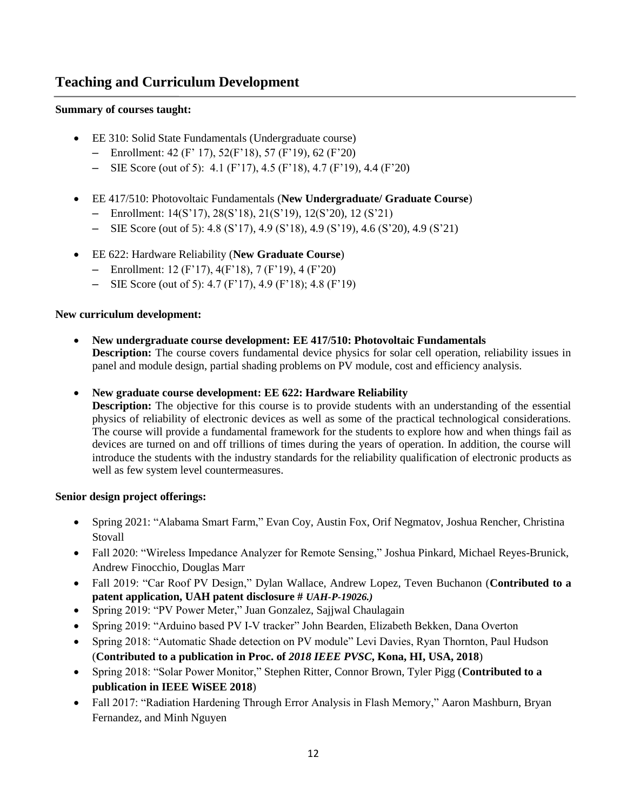# **Teaching and Curriculum Development**

### **Summary of courses taught:**

- EE 310: Solid State Fundamentals (Undergraduate course)
	- Enrollment:  $42 (F' 17)$ ,  $52(F'18)$ ,  $57 (F'19)$ ,  $62 (F'20)$
	- SIE Score (out of 5): 4.1 (F'17), 4.5 (F'18), 4.7 (F'19), 4.4 (F'20)
- EE 417/510: Photovoltaic Fundamentals (**New Undergraduate/ Graduate Course**)
	- Enrollment: 14(S'17), 28(S'18), 21(S'19), 12(S'20), 12 (S'21)
	- SIE Score (out of 5):  $4.8$  (S'17),  $4.9$  (S'18),  $4.9$  (S'19),  $4.6$  (S'20),  $4.9$  (S'21)
- EE 622: Hardware Reliability (**New Graduate Course**)
	- Enrollment: 12 (F'17), 4(F'18), 7 (F'19), 4 (F'20)
	- SIE Score (out of 5): 4.7 (F'17), 4.9 (F'18); 4.8 (F'19)

### **New curriculum development:**

- **New undergraduate course development: EE 417/510: Photovoltaic Fundamentals Description:** The course covers fundamental device physics for solar cell operation, reliability issues in panel and module design, partial shading problems on PV module, cost and efficiency analysis.
- **New graduate course development: EE 622: Hardware Reliability**

**Description:** The objective for this course is to provide students with an understanding of the essential physics of reliability of electronic devices as well as some of the practical technological considerations. The course will provide a fundamental framework for the students to explore how and when things fail as devices are turned on and off trillions of times during the years of operation. In addition, the course will introduce the students with the industry standards for the reliability qualification of electronic products as well as few system level countermeasures.

### **Senior design project offerings:**

- Spring 2021: "Alabama Smart Farm," Evan Coy, Austin Fox, Orif Negmatov, Joshua Rencher, Christina **Stovall**
- Fall 2020: "Wireless Impedance Analyzer for Remote Sensing," Joshua Pinkard, Michael Reyes-Brunick, Andrew Finocchio, Douglas Marr
- Fall 2019: "Car Roof PV Design," Dylan Wallace, Andrew Lopez, Teven Buchanon (**Contributed to a patent application, UAH patent disclosure #** *UAH-P-19026.)*
- Spring 2019: "PV Power Meter," Juan Gonzalez, Sajjwal Chaulagain
- Spring 2019: "Arduino based PV I-V tracker" John Bearden, Elizabeth Bekken, Dana Overton
- Spring 2018: "Automatic Shade detection on PV module" Levi Davies, Ryan Thornton, Paul Hudson (**Contributed to a publication in Proc. of** *2018 IEEE PVSC***, Kona, HI, USA, 2018**)
- Spring 2018: "Solar Power Monitor," Stephen Ritter, Connor Brown, Tyler Pigg (**Contributed to a publication in IEEE WiSEE 2018**)
- Fall 2017: "Radiation Hardening Through Error Analysis in Flash Memory," Aaron Mashburn, Bryan Fernandez, and Minh Nguyen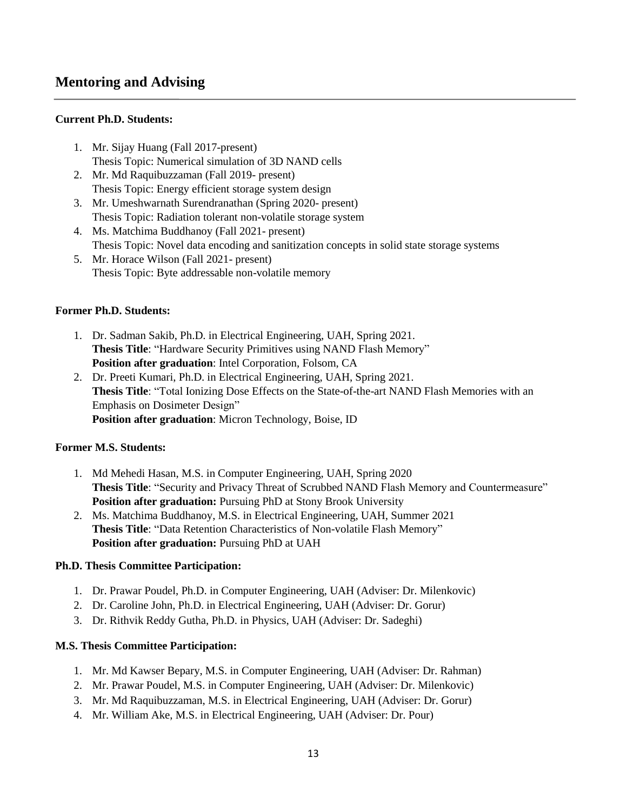# **Mentoring and Advising**

### **Current Ph.D. Students:**

- 1. Mr. Sijay Huang (Fall 2017-present) Thesis Topic: Numerical simulation of 3D NAND cells
- 2. Mr. Md Raquibuzzaman (Fall 2019- present) Thesis Topic: Energy efficient storage system design
- 3. Mr. Umeshwarnath Surendranathan (Spring 2020- present) Thesis Topic: Radiation tolerant non-volatile storage system
- 4. Ms. Matchima Buddhanoy (Fall 2021- present) Thesis Topic: Novel data encoding and sanitization concepts in solid state storage systems
- 5. Mr. Horace Wilson (Fall 2021- present) Thesis Topic: Byte addressable non-volatile memory

## **Former Ph.D. Students:**

- 1. Dr. Sadman Sakib, Ph.D. in Electrical Engineering, UAH, Spring 2021. **Thesis Title**: "Hardware Security Primitives using NAND Flash Memory" **Position after graduation**: Intel Corporation, Folsom, CA
- 2. Dr. Preeti Kumari, Ph.D. in Electrical Engineering, UAH, Spring 2021. **Thesis Title**: "Total Ionizing Dose Effects on the State-of-the-art NAND Flash Memories with an Emphasis on Dosimeter Design" **Position after graduation**: Micron Technology, Boise, ID

### **Former M.S. Students:**

- 1. Md Mehedi Hasan, M.S. in Computer Engineering, UAH, Spring 2020 **Thesis Title**: "Security and Privacy Threat of Scrubbed NAND Flash Memory and Countermeasure" **Position after graduation:** Pursuing PhD at Stony Brook University
- 2. Ms. Matchima Buddhanoy, M.S. in Electrical Engineering, UAH, Summer 2021 **Thesis Title**: "Data Retention Characteristics of Non-volatile Flash Memory" **Position after graduation:** Pursuing PhD at UAH

### **Ph.D. Thesis Committee Participation:**

- 1. Dr. Prawar Poudel, Ph.D. in Computer Engineering, UAH (Adviser: Dr. Milenkovic)
- 2. Dr. Caroline John, Ph.D. in Electrical Engineering, UAH (Adviser: Dr. Gorur)
- 3. Dr. Rithvik Reddy Gutha, Ph.D. in Physics, UAH (Adviser: Dr. Sadeghi)

### **M.S. Thesis Committee Participation:**

- 1. Mr. Md Kawser Bepary, M.S. in Computer Engineering, UAH (Adviser: Dr. Rahman)
- 2. Mr. Prawar Poudel, M.S. in Computer Engineering, UAH (Adviser: Dr. Milenkovic)
- 3. Mr. Md Raquibuzzaman, M.S. in Electrical Engineering, UAH (Adviser: Dr. Gorur)
- 4. Mr. William Ake, M.S. in Electrical Engineering, UAH (Adviser: Dr. Pour)